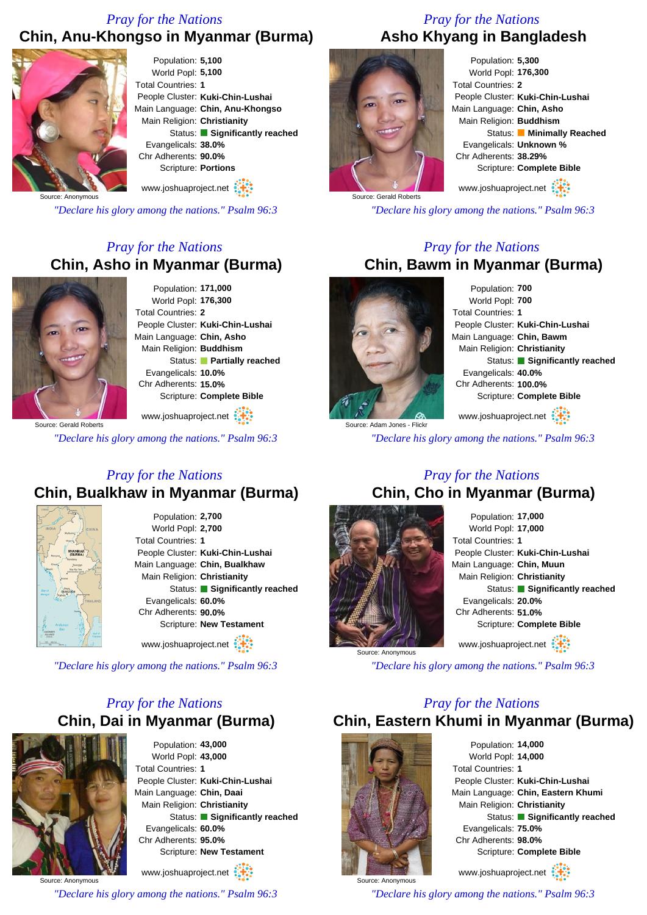## *Pray for the Nations* **Chin, Anu-Khongso in Myanmar (Burma)**



Population: **5,100** World Popl: **5,100** Total Countries: **1** People Cluster: **Kuki-Chin-Lushai** Main Language: **Chin, Anu-Khongso** Main Religion: **Christianity** Status: **Significantly reached** Evangelicals: **38.0%** Chr Adherents: **90.0%** Scripture: **Portions** www.joshuaproject.net

*"Declare his glory among the nations." Psalm 96:3*

## *Pray for the Nations* **Chin, Asho in Myanmar (Burma)**



Population: **171,000** World Popl: **176,300** Total Countries: **2** People Cluster: **Kuki-Chin-Lushai** Main Language: **Chin, Asho** Main Religion: **Buddhism** Status: **Partially reached** Evangelicals: **10.0%** Chr Adherents: **15.0%** Scripture: **Complete Bible**

www.joshuaproject.net

Source: Gerald Roberts

*"Declare his glory among the nations." Psalm 96:3*

#### *Pray for the Nations* **Chin, Bualkhaw in Myanmar (Burma)**



Population: **2,700** World Popl: **2,700** Total Countries: **1** People Cluster: **Kuki-Chin-Lushai** Main Language: **Chin, Bualkhaw** Main Religion: **Christianity** Status: **Significantly reached** Evangelicals: **60.0%** Chr Adherents: **90.0%** Scripture: **New Testament**

www.joshuaproject.net

*"Declare his glory among the nations." Psalm 96:3*

## *Pray for the Nations* **Chin, Dai in Myanmar (Burma)**



Population: **43,000** World Popl: **43,000** Total Countries: **1** People Cluster: **Kuki-Chin-Lushai** Main Language: **Chin, Daai** Main Religion: **Christianity** Status: **Significantly reached** Evangelicals: **60.0%** Chr Adherents: **95.0%** Scripture: **New Testament** www.joshuaproject.net

Source: Anonymous *"Declare his glory among the nations." Psalm 96:3*

#### *Pray for the Nations* **Asho Khyang in Bangladesh**



*"Declare his glory among the nations." Psalm 96:3*

#### *Pray for the Nations* **Chin, Bawm in Myanmar (Burma)**



Population: **700** World Popl: **700** Total Countries: **1** People Cluster: **Kuki-Chin-Lushai** Main Language: **Chin, Bawm** Main Religion: **Christianity** Status: **Significantly reached** Evangelicals: **40.0%** Chr Adherents: **100.0%** Scripture: **Complete Bible** www.joshuaproject.net

*"Declare his glory among the nations." Psalm 96:3*

#### *Pray for the Nations* **Chin, Cho in Myanmar (Burma)**



Population: **17,000** World Popl: **17,000** Total Countries: **1** People Cluster: **Kuki-Chin-Lushai** Main Language: **Chin, Muun** Main Religion: **Christianity** Status: **Significantly reached** Evangelicals: **20.0%** Chr Adherents: **51.0%** Scripture: **Complete Bible** www.joshuaproject.net

*"Declare his glory among the nations." Psalm 96:3*

## *Pray for the Nations*

**Chin, Eastern Khumi in Myanmar (Burma)**



Source: Anonymous

Population: **14,000** World Popl: **14,000** Total Countries: **1** People Cluster: **Kuki-Chin-Lushai** Main Language: **Chin, Eastern Khumi** Main Religion: **Christianity** Status: **Significantly reached** Evangelicals: **75.0%** Chr Adherents: **98.0%** Scripture: **Complete Bible** www.joshuaproject.net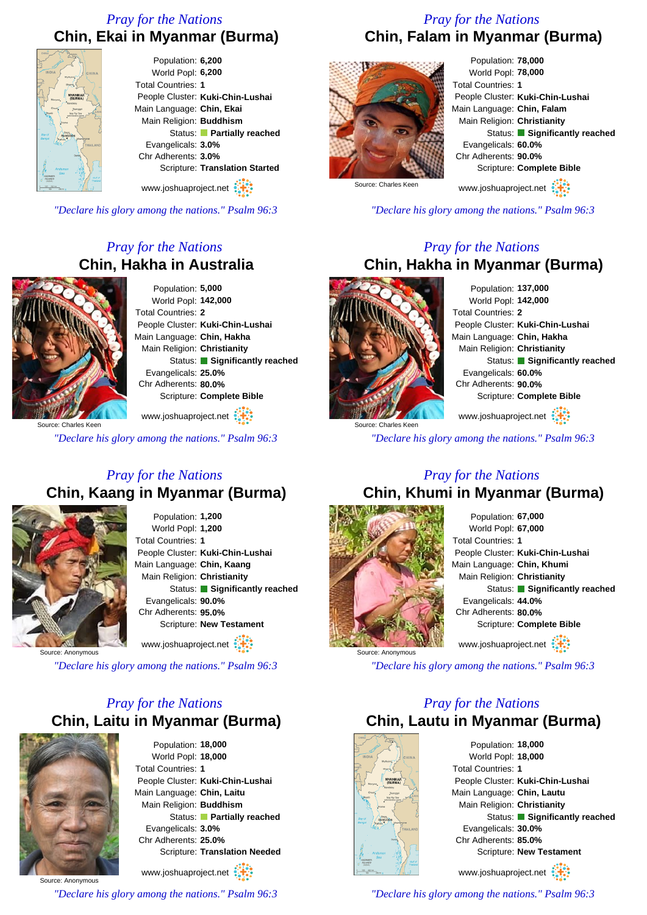## *Pray for the Nations* **Chin, Ekai in Myanmar (Burma)**



Population: **6,200** World Popl: **6,200** Total Countries: **1** People Cluster: **Kuki-Chin-Lushai** Main Language: **Chin, Ekai** Main Religion: **Buddhism** Status: **Partially reached** Evangelicals: **3.0%** Chr Adherents: **3.0%** Scripture: **Translation Started**

www.joshuaproject.net

*"Declare his glory among the nations." Psalm 96:3*

## *Pray for the Nations* **Chin, Hakha in Australia**



Population: **5,000** World Popl: **142,000** Total Countries: **2** People Cluster: **Kuki-Chin-Lushai** Main Language: **Chin, Hakha** Main Religion: **Christianity** Status: **Significantly reached** Evangelicals: **25.0%** Chr Adherents: **80.0%** Scripture: **Complete Bible**

www.joshuaproject.net

*"Declare his glory among the nations." Psalm 96:3*

#### *Pray for the Nations* **Chin, Kaang in Myanmar (Burma)**



Population: **1,200** World Popl: **1,200** Total Countries: **1** People Cluster: **Kuki-Chin-Lushai** Main Language: **Chin, Kaang** Main Religion: **Christianity** Status: **Significantly reached** Evangelicals: **90.0%** Chr Adherents: **95.0%** Scripture: **New Testament** www.joshuaproject.net

Source: Anonymous

*"Declare his glory among the nations." Psalm 96:3*

## *Pray for the Nations* **Chin, Laitu in Myanmar (Burma)**



Population: **18,000** World Popl: **18,000** Total Countries: **1** People Cluster: **Kuki-Chin-Lushai** Main Language: **Chin, Laitu** Main Religion: **Buddhism** Status: **Partially reached** Evangelicals: **3.0%** Chr Adherents: **25.0%** Scripture: **Translation Needed** www.joshuaproject.net

Source: Anonymous

*"Declare his glory among the nations." Psalm 96:3*

## *Pray for the Nations* **Chin, Falam in Myanmar (Burma)**



Population: **78,000** World Popl: **78,000** Total Countries: **1** People Cluster: **Kuki-Chin-Lushai** Main Language: **Chin, Falam** Main Religion: **Christianity** Status: **Significantly reached** Evangelicals: **60.0%** Chr Adherents: **90.0%** Scripture: **Complete Bible** www.joshuaproject.net

Source: Charles Keen

*"Declare his glory among the nations." Psalm 96:3*

#### *Pray for the Nations* **Chin, Hakha in Myanmar (Burma)**



Population: **137,000** World Popl: **142,000** Total Countries: **2** People Cluster: **Kuki-Chin-Lushai** Main Language: **Chin, Hakha** Main Religion: **Christianity** Status: **Significantly reached** Evangelicals: **60.0%** Chr Adherents: **90.0%** Scripture: **Complete Bible** www.joshuaproject.net

*"Declare his glory among the nations." Psalm 96:3*

#### *Pray for the Nations* **Chin, Khumi in Myanmar (Burma)**



Population: **67,000** World Popl: **67,000** Total Countries: **1** People Cluster: **Kuki-Chin-Lushai** Main Language: **Chin, Khumi** Main Religion: **Christianity** Status: **Significantly reached** Evangelicals: **44.0%** Chr Adherents: **80.0%** Scripture: **Complete Bible** www.joshuaproject.net

*"Declare his glory among the nations." Psalm 96:3*

#### *Pray for the Nations* **Chin, Lautu in Myanmar (Burma)**



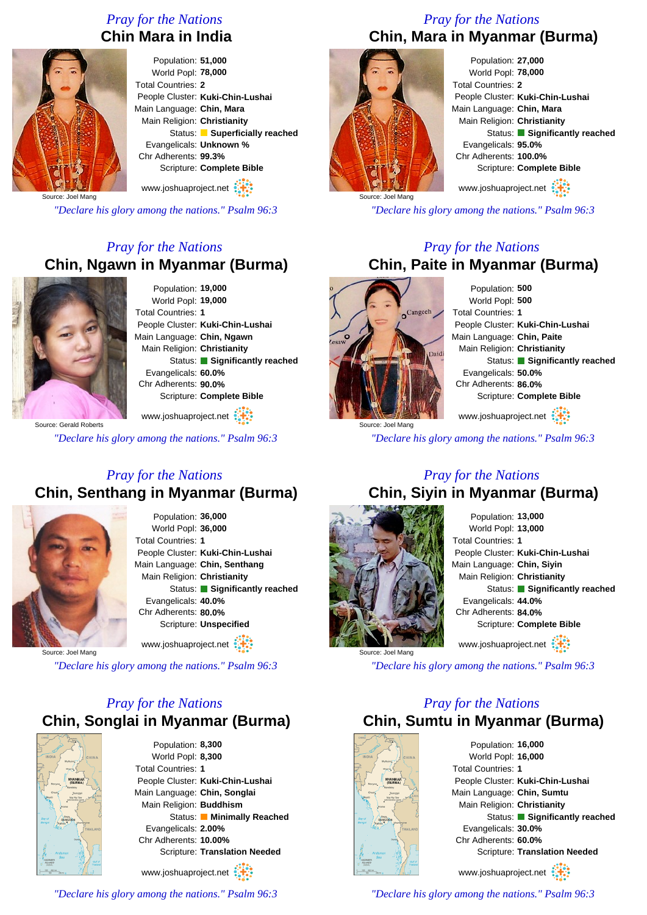#### *Pray for the Nations* **Chin Mara in India**



Population: **51,000** World Popl: **78,000** Total Countries: **2** People Cluster: **Kuki-Chin-Lushai** Main Language: **Chin, Mara** Main Religion: **Christianity** Status: **Superficially reached** Evangelicals: **Unknown %** Chr Adherents: **99.3%** Scripture: **Complete Bible**

www.joshuaproject.net

Source: Joel Mang

*"Declare his glory among the nations." Psalm 96:3*

### *Pray for the Nations* **Chin, Ngawn in Myanmar (Burma)**



Population: **19,000** World Popl: **19,000** Total Countries: **1** People Cluster: **Kuki-Chin-Lushai** Main Language: **Chin, Ngawn** Main Religion: **Christianity** Status: **Significantly reached** Evangelicals: **60.0%** Chr Adherents: **90.0%** Scripture: **Complete Bible**

Source: Gerald Roberts www.joshuaproject.net

*"Declare his glory among the nations." Psalm 96:3*

## *Pray for the Nations* **Chin, Senthang in Myanmar (Burma)**



Population: **36,000** World Popl: **36,000** Total Countries: **1** People Cluster: **Kuki-Chin-Lushai** Main Language: **Chin, Senthang** Main Religion: **Christianity** Status: **Significantly reached** Evangelicals: **40.0%** Chr Adherents: **80.0%** Scripture: **Unspecified**

www.joshuaproject.net

Source: Joel Mang

*"Declare his glory among the nations." Psalm 96:3*

# *Pray for the Nations* **Chin, Songlai in Myanmar (Burma)**



Population: **8,300** World Popl: **8,300** Total Countries: **1** People Cluster: **Kuki-Chin-Lushai** Main Language: **Chin, Songlai** Main Religion: **Buddhism** Status: **Minimally Reached** Evangelicals: **2.00%** Chr Adherents: **10.00%** Scripture: **Translation Needed**

www.joshuaproject.net

*"Declare his glory among the nations." Psalm 96:3*

#### *Pray for the Nations* **Chin, Mara in Myanmar (Burma)**



Population: **27,000** World Popl: **78,000** Total Countries: **2** People Cluster: **Kuki-Chin-Lushai** Main Language: **Chin, Mara** Main Religion: **Christianity** Status: **Significantly reached** Evangelicals: **95.0%** Chr Adherents: **100.0%** Scripture: **Complete Bible** www.joshuaproject.net

*"Declare his glory among the nations." Psalm 96:3*

#### *Pray for the Nations* **Chin, Paite in Myanmar (Burma)**



Population: **500** World Popl: **500** Total Countries: **1** People Cluster: **Kuki-Chin-Lushai** Main Language: **Chin, Paite** Main Religion: **Christianity** Status: **Significantly reached** Evangelicals: **50.0%** Chr Adherents: **86.0%** Scripture: **Complete Bible** www.joshuaproject.net

*"Declare his glory among the nations." Psalm 96:3*

#### *Pray for the Nations* **Chin, Siyin in Myanmar (Burma)**



Population: **13,000** World Popl: **13,000** Total Countries: **1** People Cluster: **Kuki-Chin-Lushai** Main Language: **Chin, Siyin** Main Religion: **Christianity** Status: **Significantly reached** Evangelicals: **44.0%** Chr Adherents: **84.0%** Scripture: **Complete Bible** www.joshuaproject.net

*"Declare his glory among the nations." Psalm 96:3*

# *Pray for the Nations*

## **Chin, Sumtu in Myanmar (Burma)**



Population: **16,000** World Popl: **16,000** Total Countries: **1** People Cluster: **Kuki-Chin-Lushai** Main Language: **Chin, Sumtu** Main Religion: **Christianity** Status: **Significantly reached** Evangelicals: **30.0%** Chr Adherents: **60.0%** Scripture: **Translation Needed** www.joshuaproject.net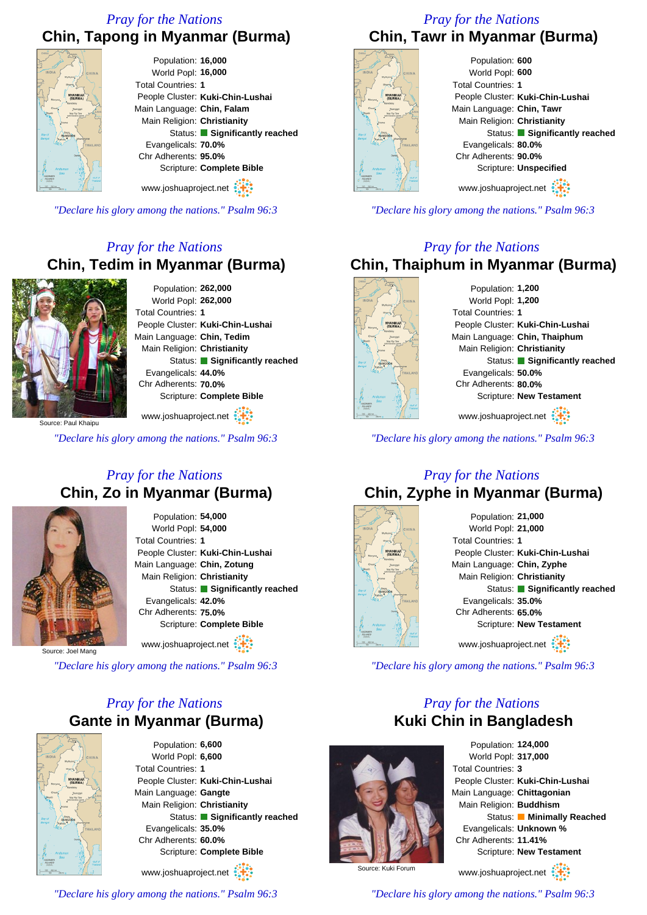#### *Pray for the Nations*

# **Chin, Tapong in Myanmar (Burma)**



Population: **16,000** World Popl: **16,000** Total Countries: **1** People Cluster: **Kuki-Chin-Lushai** Main Language: **Chin, Falam** Main Religion: **Christianity** Status: **Significantly reached** Evangelicals: **70.0%** Chr Adherents: **95.0%** Scripture: **Complete Bible**

www.joshuaproject.net

*"Declare his glory among the nations." Psalm 96:3*

## *Pray for the Nations* **Chin, Tedim in Myanmar (Burma)**



Population: **262,000** World Popl: **262,000** Total Countries: **1** People Cluster: **Kuki-Chin-Lushai** Main Language: **Chin, Tedim** Main Religion: **Christianity** Status: **Significantly reached** Evangelicals: **44.0%** Chr Adherents: **70.0%** Scripture: **Complete Bible** www.joshuaproject.net

Source: Paul Khaipu

*"Declare his glory among the nations." Psalm 96:3*

#### *Pray for the Nations* **Chin, Zo in Myanmar (Burma)**



Population: **54,000** World Popl: **54,000** Total Countries: **1** People Cluster: **Kuki-Chin-Lushai** Main Language: **Chin, Zotung** Main Religion: **Christianity** Status: **Significantly reached** Evangelicals: **42.0%** Chr Adherents: **75.0%** Scripture: **Complete Bible**

www.joshuaproject.net

Source: Joel Mang

*"Declare his glory among the nations." Psalm 96:3*

#### *Pray for the Nations* **Gante in Myanmar (Burma)**



Population: **6,600** World Popl: **6,600** Total Countries: **1** People Cluster: **Kuki-Chin-Lushai** Main Language: **Gangte** Main Religion: **Christianity** Status: **Significantly reached** Evangelicals: **35.0%** Chr Adherents: **60.0%** Scripture: **Complete Bible**

www.joshuaproject.net

*"Declare his glory among the nations." Psalm 96:3*

#### *Pray for the Nations* **Chin, Tawr in Myanmar (Burma)**



Population: **600** World Popl: **600** Total Countries: **1** People Cluster: **Kuki-Chin-Lushai** Main Language: **Chin, Tawr** Main Religion: **Christianity** Status: **Significantly reached** Evangelicals: **80.0%** Chr Adherents: **90.0%** Scripture: **Unspecified** www.joshuaproject.net

*"Declare his glory among the nations." Psalm 96:3*

#### *Pray for the Nations*

#### **Chin, Thaiphum in Myanmar (Burma)**



Population: **1,200** World Popl: **1,200** Total Countries: **1** People Cluster: **Kuki-Chin-Lushai** Main Language: **Chin, Thaiphum** Main Religion: **Christianity** Status: **Significantly reached** Evangelicals: **50.0%** Chr Adherents: **80.0%** Scripture: **New Testament** www.joshuaproject.net

*"Declare his glory among the nations." Psalm 96:3*

#### *Pray for the Nations* **Chin, Zyphe in Myanmar (Burma)**



Population: **21,000** World Popl: **21,000** Total Countries: **1** People Cluster: **Kuki-Chin-Lushai** Main Language: **Chin, Zyphe** Main Religion: **Christianity** Status: **Significantly reached** Evangelicals: **35.0%** Chr Adherents: **65.0%** Scripture: **New Testament** www.joshuaproject.net

*"Declare his glory among the nations." Psalm 96:3*

#### *Pray for the Nations* **Kuki Chin in Bangladesh**



Population: **124,000** World Popl: **317,000** Total Countries: **3** People Cluster: **Kuki-Chin-Lushai** Main Language: **Chittagonian** Main Religion: **Buddhism** Status: **Minimally Reached** Evangelicals: **Unknown %** Chr Adherents: **11.41%** Scripture: **New Testament**

Source: Kuki Forum

*"Declare his glory among the nations." Psalm 96:3*

www.joshuaproject.net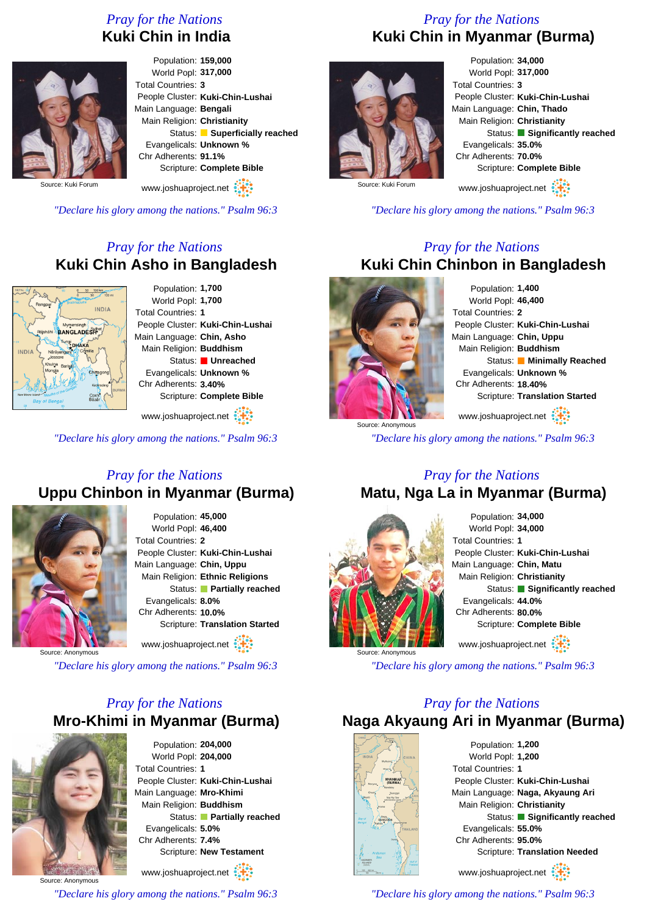## *Pray for the Nations* **Kuki Chin in India**



Population: **159,000** World Popl: **317,000** Total Countries: **3** People Cluster: **Kuki-Chin-Lushai** Main Language: **Bengali** Main Religion: **Christianity** Status: **Superficially reached** Evangelicals: **Unknown %** Chr Adherents: **91.1%** Scripture: **Complete Bible**

Source: Kuki Forum

www.joshuaproject.net

*"Declare his glory among the nations." Psalm 96:3*

## *Pray for the Nations* **Kuki Chin Asho in Bangladesh**



Population: **1,700** World Popl: **1,700** Total Countries: **1** People Cluster: **Kuki-Chin-Lushai** Main Language: **Chin, Asho** Main Religion: **Buddhism** Status: **Unreached** Evangelicals: **Unknown %** Chr Adherents: **3.40%** Scripture: **Complete Bible**

www.joshuaproject.net

*"Declare his glory among the nations." Psalm 96:3*

#### *Pray for the Nations* **Uppu Chinbon in Myanmar (Burma)**



Population: **45,000** World Popl: **46,400** Total Countries: **2** People Cluster: **Kuki-Chin-Lushai** Main Language: **Chin, Uppu** Main Religion: **Ethnic Religions** Status: **Partially reached** Evangelicals: **8.0%** Chr Adherents: **10.0%** Scripture: **Translation Started** www.joshuaproject.net

*"Declare his glory among the nations." Psalm 96:3*

## *Pray for the Nations* **Mro-Khimi in Myanmar (Burma)**



Population: **204,000** World Popl: **204,000** Total Countries: **1** People Cluster: **Kuki-Chin-Lushai** Main Language: **Mro-Khimi** Main Religion: **Buddhism** Status: **Partially reached** Evangelicals: **5.0%** Chr Adherents: **7.4%** Scripture: **New Testament** www.joshuaproject.net

Source: Anonymous

*"Declare his glory among the nations." Psalm 96:3*

## *Pray for the Nations* **Kuki Chin in Myanmar (Burma)**



Population: **34,000** World Popl: **317,000** Total Countries: **3** People Cluster: **Kuki-Chin-Lushai** Main Language: **Chin, Thado** Main Religion: **Christianity** Status: **Significantly reached** Evangelicals: **35.0%** Chr Adherents: **70.0%** Scripture: **Complete Bible**

*"Declare his glory among the nations." Psalm 96:3*

#### *Pray for the Nations* **Kuki Chin Chinbon in Bangladesh**



Population: **1,400** World Popl: **46,400** Total Countries: **2** People Cluster: **Kuki-Chin-Lushai** Main Language: **Chin, Uppu** Main Religion: **Buddhism** Status: **Minimally Reached** Evangelicals: **Unknown %** Chr Adherents: **18.40%** Scripture: **Translation Started** www.joshuaproject.net

*"Declare his glory among the nations." Psalm 96:3*

#### *Pray for the Nations* **Matu, Nga La in Myanmar (Burma)**



Population: **34,000** World Popl: **34,000** Total Countries: **1** People Cluster: **Kuki-Chin-Lushai** Main Language: **Chin, Matu** Main Religion: **Christianity** Status: **Significantly reached** Evangelicals: **44.0%** Chr Adherents: **80.0%** Scripture: **Complete Bible** www.joshuaproject.net

*"Declare his glory among the nations." Psalm 96:3*

# *Pray for the Nations*

**Naga Akyaung Ari in Myanmar (Burma)**



Population: **1,200** World Popl: **1,200** Total Countries: **1** People Cluster: **Kuki-Chin-Lushai** Main Language: **Naga, Akyaung Ari** Main Religion: **Christianity** Status: **Significantly reached** Evangelicals: **55.0%** Chr Adherents: **95.0%** Scripture: **Translation Needed** www.joshuaproject.net

*"Declare his glory among the nations." Psalm 96:3*



Source: Anonymous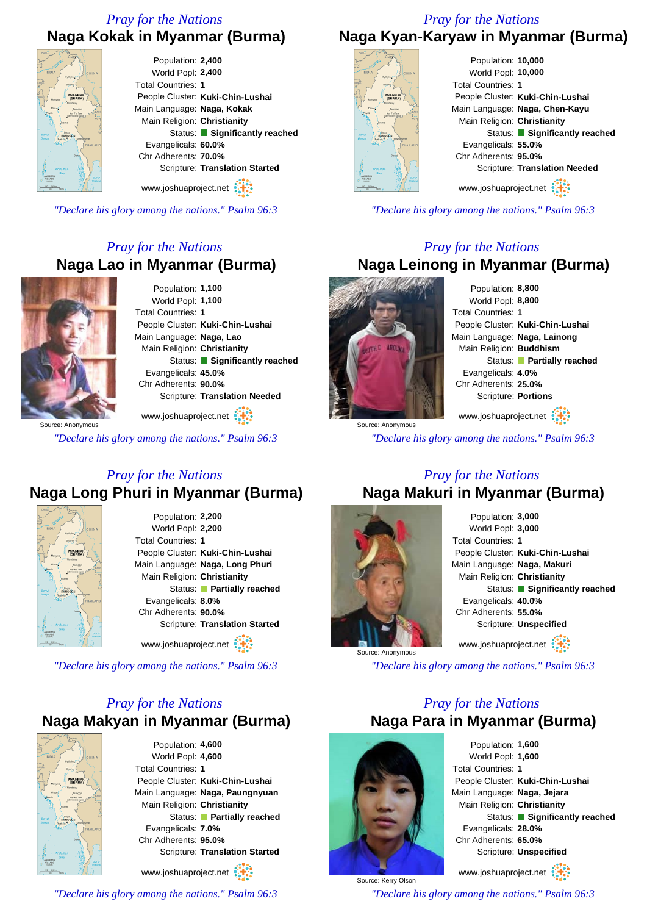#### *Pray for the Nations* **Naga Kokak in Myanmar (Burma)**



*"Declare his glory among the nations." Psalm 96:3*

## *Pray for the Nations* **Naga Lao in Myanmar (Burma)**



Population: **1,100** World Popl: **1,100** Total Countries: **1** People Cluster: **Kuki-Chin-Lushai** Main Language: **Naga, Lao** Main Religion: **Christianity** Status: **Significantly reached** Evangelicals: **45.0%** Chr Adherents: **90.0%** Scripture: **Translation Needed** www.joshuaproject.net

*"Declare his glory among the nations." Psalm 96:3*

## *Pray for the Nations* **Naga Kyan-Karyaw in Myanmar (Burma)**



Population: **10,000** World Popl: **10,000** Total Countries: **1** People Cluster: **Kuki-Chin-Lushai** Main Language: **Naga, Chen-Kayu** Main Religion: **Christianity** Status: **Significantly reached** Evangelicals: **55.0%** Chr Adherents: **95.0%** Scripture: **Translation Needed** www.joshuaproject.net

*"Declare his glory among the nations." Psalm 96:3*

## *Pray for the Nations*

## **Naga Leinong in Myanmar (Burma)**



Source: Anonymous

Population: **8,800** World Popl: **8,800** Total Countries: **1** People Cluster: **Kuki-Chin-Lushai** Main Language: **Naga, Lainong** Main Religion: **Buddhism** Status: **Partially reached** Evangelicals: **4.0%** Chr Adherents: **25.0%** Scripture: **Portions** www.joshuaproject.net

*"Declare his glory among the nations." Psalm 96:3*

## *Pray for the Nations* **Naga Long Phuri in Myanmar (Burma)**



Population: **2,200** World Popl: **2,200** Total Countries: **1** People Cluster: **Kuki-Chin-Lushai** Main Language: **Naga, Long Phuri** Main Religion: **Christianity** Status: **Partially reached** Evangelicals: **8.0%** Chr Adherents: **90.0%** Scripture: **Translation Started**

www.joshuaproject.net

*"Declare his glory among the nations." Psalm 96:3*

## *Pray for the Nations* **Naga Makyan in Myanmar (Burma)**



Population: **4,600** World Popl: **4,600** Total Countries: **1** People Cluster: **Kuki-Chin-Lushai** Main Language: **Naga, Paungnyuan** Main Religion: **Christianity** Status: **Partially reached** Evangelicals: **7.0%** Chr Adherents: **95.0%** Scripture: **Translation Started**

www.joshuaproject.net

*"Declare his glory among the nations." Psalm 96:3*

## *Pray for the Nations* **Naga Makuri in Myanmar (Burma)**



Population: **3,000** World Popl: **3,000** Total Countries: **1** People Cluster: **Kuki-Chin-Lushai** Main Language: **Naga, Makuri** Main Religion: **Christianity** Status: **Significantly reached** Evangelicals: **40.0%** Chr Adherents: **55.0%** Scripture: **Unspecified** www.joshuaproject.net

*"Declare his glory among the nations." Psalm 96:3*

## *Pray for the Nations* **Naga Para in Myanmar (Burma)**



Source: Kerry Olson

Population: **1,600** World Popl: **1,600** Total Countries: **1** People Cluster: **Kuki-Chin-Lushai** Main Language: **Naga, Jejara** Main Religion: **Christianity** Status: **Significantly reached** Evangelicals: **28.0%** Chr Adherents: **65.0%** Scripture: **Unspecified**

www.joshuaproject.net